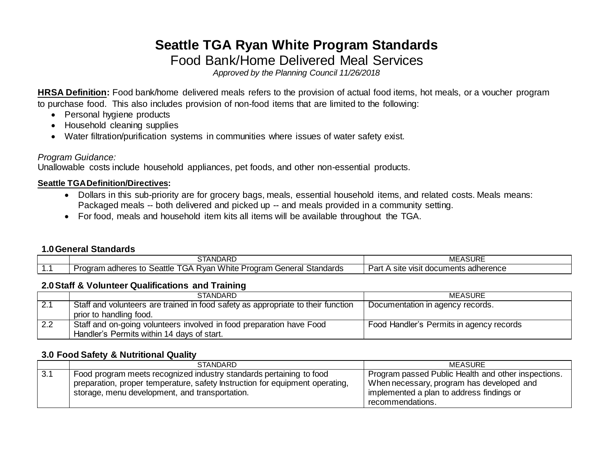# **Seattle TGA Ryan White Program Standards** Food Bank/Home Delivered Meal Services

*Approved by the Planning Council 11/26/2018*

**HRSA Definition:** Food bank/home delivered meals refers to the provision of actual food items, hot meals, or a voucher program to purchase food. This also includes provision of non-food items that are limited to the following:

- Personal hygiene products
- Household cleaning supplies
- Water filtration/purification systems in communities where issues of water safety exist.

### *Program Guidance:*

Unallowable costs include household appliances, pet foods, and other non-essential products.

### **Seattle TGA Definition/Directives:**

- Dollars in this sub-priority are for grocery bags, meals, essential household items, and related costs. Meals means: Packaged meals -- both delivered and picked up -- and meals provided in a community setting.
- For food, meals and household item kits all items will be available throughout the TGA.

#### **1.0General Standards**

|     | STANDARD<br>$- -$                                                                                                             | $\sim$<br>МЕ<br>ASUKE                                                  |
|-----|-------------------------------------------------------------------------------------------------------------------------------|------------------------------------------------------------------------|
| . . | <b>A</b> <i>A A A A</i><br>$-$<br>Seattle<br>Standards<br>adheres<br>General<br>≺var<br>hite<br>w<br>. GA<br>тоа.<br>-10<br>. | _<br>Pan<br><u>ീ</u> dherence<br>VISI<br>site<br>್ಷುocuments <u>an</u> |

#### **2.0Staff & Volunteer Qualifications and Training**

|     | <b>STANDARD</b>                                                                  | <b>MEASURE</b>                           |
|-----|----------------------------------------------------------------------------------|------------------------------------------|
| 2.1 | Staff and volunteers are trained in food safety as appropriate to their function | Documentation in agency records.         |
|     | prior to handling food.                                                          |                                          |
| 2.2 | Staff and on-going volunteers involved in food preparation have Food             | Food Handler's Permits in agency records |
|     | Handler's Permits within 14 days of start.                                       |                                          |

#### **3.0 Food Safety & Nutritional Quality**

|     | <b>STANDARD</b>                                                              | MEASURE                                             |
|-----|------------------------------------------------------------------------------|-----------------------------------------------------|
| 3.1 | Food program meets recognized industry standards pertaining to food          | Program passed Public Health and other inspections. |
|     | preparation, proper temperature, safety Instruction for equipment operating, | When necessary, program has developed and           |
|     | storage, menu development, and transportation.                               | implemented a plan to address findings or           |
|     |                                                                              | recommendations.                                    |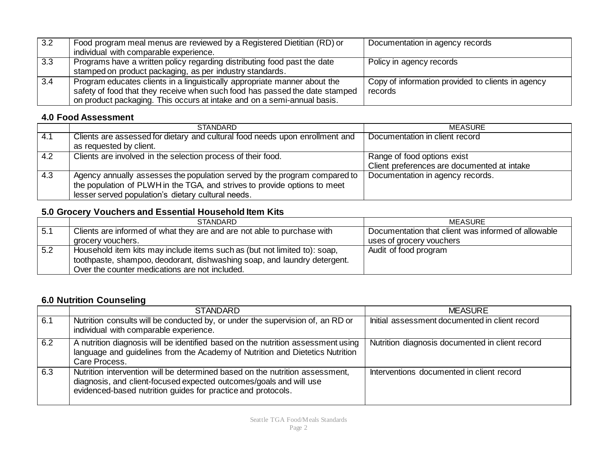| 3.2 | Food program meal menus are reviewed by a Registered Dietitian (RD) or<br>individual with comparable experience.                                                                                                                    | Documentation in agency records                              |
|-----|-------------------------------------------------------------------------------------------------------------------------------------------------------------------------------------------------------------------------------------|--------------------------------------------------------------|
| 3.3 | Programs have a written policy regarding distributing food past the date<br>stamped on product packaging, as per industry standards.                                                                                                | Policy in agency records                                     |
| 3.4 | Program educates clients in a linguistically appropriate manner about the<br>safety of food that they receive when such food has passed the date stamped<br>on product packaging. This occurs at intake and on a semi-annual basis. | Copy of information provided to clients in agency<br>records |

### **4.0 Food Assessment**

|     | <b>STANDARD</b>                                                                                                                                                                                              | MEASURE                                                                    |
|-----|--------------------------------------------------------------------------------------------------------------------------------------------------------------------------------------------------------------|----------------------------------------------------------------------------|
| 4.1 | Clients are assessed for dietary and cultural food needs upon enrollment and<br>as requested by client.                                                                                                      | Documentation in client record                                             |
| 4.2 | Clients are involved in the selection process of their food.                                                                                                                                                 | Range of food options exist<br>Client preferences are documented at intake |
| 4.3 | Agency annually assesses the population served by the program compared to<br>the population of PLWH in the TGA, and strives to provide options to meet<br>lesser served population's dietary cultural needs. | Documentation in agency records.                                           |

# **5.0 Grocery Vouchers and Essential Household Item Kits**

|     | <b>STANDARD</b>                                                           | MEASURE                                             |
|-----|---------------------------------------------------------------------------|-----------------------------------------------------|
| 5.1 | Clients are informed of what they are and are not able to purchase with   | Documentation that client was informed of allowable |
|     | grocery vouchers.                                                         | uses of grocery vouchers                            |
| 5.2 | Household item kits may include items such as (but not limited to): soap, | Audit of food program                               |
|     | toothpaste, shampoo, deodorant, dishwashing soap, and laundry detergent.  |                                                     |
|     | Over the counter medications are not included.                            |                                                     |

# **6.0 Nutrition Counseling**

|     | <b>STANDARD</b>                                                                                                                                                                                                    | <b>MEASURE</b>                                  |
|-----|--------------------------------------------------------------------------------------------------------------------------------------------------------------------------------------------------------------------|-------------------------------------------------|
| 6.1 | Nutrition consults will be conducted by, or under the supervision of, an RD or<br>individual with comparable experience.                                                                                           | Initial assessment documented in client record  |
| 6.2 | A nutrition diagnosis will be identified based on the nutrition assessment using<br>language and guidelines from the Academy of Nutrition and Dietetics Nutrition<br>Care Process.                                 | Nutrition diagnosis documented in client record |
| 6.3 | Nutrition intervention will be determined based on the nutrition assessment,<br>diagnosis, and client-focused expected outcomes/goals and will use<br>evidenced-based nutrition guides for practice and protocols. | Interventions documented in client record       |